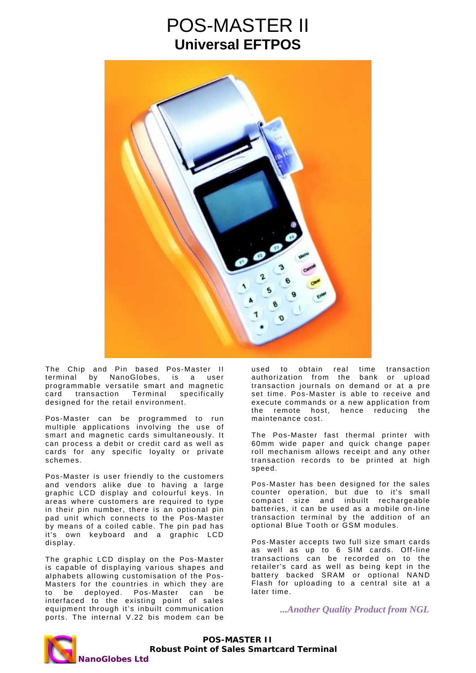## POS-MASTER II **Universal EFTPOS**



The Chip and Pin based Pos-Master II terminal by NanoGlobes, is a user programmable versatile smart and magnetic card transaction Terminal specifically designed for the retail environment.

Pos-Master can be programmed to run multiple applications involving the use of smart and magnetic cards simultaneously. It can process a debit or credit card as well as cards for any specific loyalty or private schemes.

Pos-Master is user friendly to the customers and vendors alike due to having a large graphic LCD display and colourful keys. In areas where customers are required to type in their pin number, there is an optional pin pad unit which connects to the Pos-Master by means of a coiled cable. The pin pad has it's own keyboard and a graphic LCD display.

The graphic LCD display on the Pos-Master is capable of displaying various shapes and alphabets allowing customisation of the Pos-Masters for the countries in which they are to be deployed. Pos-Master can be interfaced to the existing point of sales equipment through it's inbuilt communication ports. The internal V.22 bis modem can be

used to obtain real time transaction authorization from the bank or upload transaction journals on demand or at a pre set time. Pos-Master is able to receive and execute commands or a new application from the remote host, hence reducing the maintenance cost.

The Pos-Master fast thermal printer with 60mm wide paper and quick change paper roll mechanism allows receipt and any other transaction records to be printed at high speed.

Pos-Master has been designed for the sales counter operation, but due to it's small compact size and inbuilt rechargeable batteries, it can be used as a mobile on-line transaction terminal by the addition of an optional Blue Tooth or GSM modules.

Pos-Master accepts two full size smart cards as well as up to 6 SIM cards. Off-line transactions can be recorded on to the retailer's card as well as being kept in the battery backed SRAM or optional NAND Flash for uploading to a central site at a later time.

 *...Another Quality Product from NGL* 

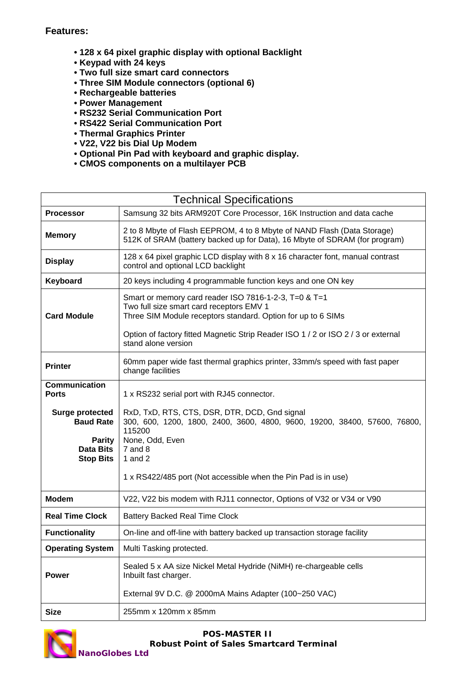## **Features:**

- **128 x 64 pixel graphic display with optional Backlight**
- **Keypad with 24 keys**
- **Two full size smart card connectors**
- **Three SIM Module connectors (optional 6)**
- **Rechargeable batteries**
- **Power Management**
- **RS232 Serial Communication Port**
- **RS422 Serial Communication Port**
- **Thermal Graphics Printer**
- **V22, V22 bis Dial Up Modem**
- **Optional Pin Pad with keyboard and graphic display.**
- **CMOS components on a multilayer PCB**

| <b>Technical Specifications</b>                                                              |                                                                                                                                                                                                                                                                               |
|----------------------------------------------------------------------------------------------|-------------------------------------------------------------------------------------------------------------------------------------------------------------------------------------------------------------------------------------------------------------------------------|
| <b>Processor</b>                                                                             | Samsung 32 bits ARM920T Core Processor, 16K Instruction and data cache                                                                                                                                                                                                        |
| <b>Memory</b>                                                                                | 2 to 8 Mbyte of Flash EEPROM, 4 to 8 Mbyte of NAND Flash (Data Storage)<br>512K of SRAM (battery backed up for Data), 16 Mbyte of SDRAM (for program)                                                                                                                         |
| <b>Display</b>                                                                               | 128 x 64 pixel graphic LCD display with 8 x 16 character font, manual contrast<br>control and optional LCD backlight                                                                                                                                                          |
| Keyboard                                                                                     | 20 keys including 4 programmable function keys and one ON key                                                                                                                                                                                                                 |
| <b>Card Module</b>                                                                           | Smart or memory card reader ISO 7816-1-2-3, T=0 & T=1<br>Two full size smart card receptors EMV 1<br>Three SIM Module receptors standard. Option for up to 6 SIMs<br>Option of factory fitted Magnetic Strip Reader ISO 1 / 2 or ISO 2 / 3 or external<br>stand alone version |
| <b>Printer</b>                                                                               | 60mm paper wide fast thermal graphics printer, 33mm/s speed with fast paper<br>change facilities                                                                                                                                                                              |
| <b>Communication</b><br><b>Ports</b>                                                         | 1 x RS232 serial port with RJ45 connector.                                                                                                                                                                                                                                    |
| <b>Surge protected</b><br><b>Baud Rate</b><br><b>Parity</b><br>Data Bits<br><b>Stop Bits</b> | RxD, TxD, RTS, CTS, DSR, DTR, DCD, Gnd signal<br>300, 600, 1200, 1800, 2400, 3600, 4800, 9600, 19200, 38400, 57600, 76800,<br>115200<br>None, Odd, Even<br>$7$ and $8$<br>1 and $2$                                                                                           |
|                                                                                              | 1 x RS422/485 port (Not accessible when the Pin Pad is in use)                                                                                                                                                                                                                |
| <b>Modem</b>                                                                                 | V22, V22 bis modem with RJ11 connector, Options of V32 or V34 or V90                                                                                                                                                                                                          |
| <b>Real Time Clock</b>                                                                       | <b>Battery Backed Real Time Clock</b>                                                                                                                                                                                                                                         |
| <b>Functionality</b>                                                                         | On-line and off-line with battery backed up transaction storage facility                                                                                                                                                                                                      |
| <b>Operating System</b>                                                                      | Multi Tasking protected.                                                                                                                                                                                                                                                      |
| <b>Power</b>                                                                                 | Sealed 5 x AA size Nickel Metal Hydride (NiMH) re-chargeable cells<br>Inbuilt fast charger.                                                                                                                                                                                   |
|                                                                                              | External 9V D.C. @ 2000mA Mains Adapter (100~250 VAC)                                                                                                                                                                                                                         |
| <b>Size</b>                                                                                  | 255mm x 120mm x 85mm                                                                                                                                                                                                                                                          |